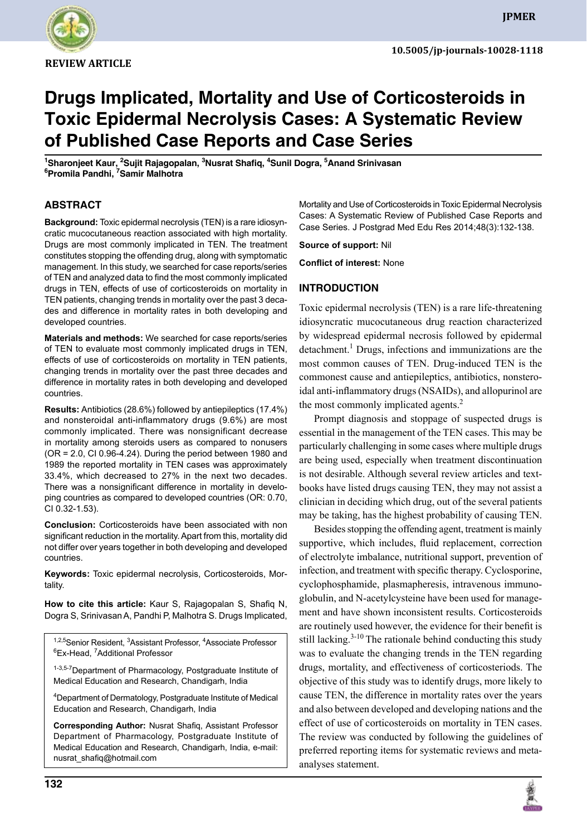

**review Article**

# **Drugs Implicated, Mortality and Use of Corticosteroids in Toxic Epidermal Necrolysis Cases: A Systematic Review of Published Case Reports and Case Series**

<sup>1</sup>Sharonjeet Kaur, <sup>2</sup>Sujit Rajagopalan, <sup>3</sup>Nusrat Shafiq, <sup>4</sup>Sunil Dogra, <sup>5</sup>Anand Srinivasan **6 Promila Pandhi, 7 Samir Malhotra**

## **Abstract**

**Background:** Toxic epidermal necrolysis (TEN) is a rare idiosyncratic mucocutaneous reaction associated with high mortality. Drugs are most commonly implicated in TEN. The treatment constitutes stopping the offending drug, along with symptomatic management. In this study, we searched for case reports/series of TEN and analyzed data to find the most commonly implicated drugs in TEN, effects of use of corticosteroids on mortality in TEN patients, changing trends in mortality over the past 3 decades and difference in mortality rates in both developing and developed countries.

**Materials and methods:** We searched for case reports/series of TEN to evaluate most commonly implicated drugs in TEN, effects of use of corticosteroids on mortality in TEN patients, changing trends in mortality over the past three decades and difference in mortality rates in both developing and developed countries.

**Results:** Antibiotics (28.6%) followed by antiepileptics (17.4%) and nonsteroidal anti-inflammatory drugs (9.6%) are most commonly implicated. There was nonsignificant decrease in mortality among steroids users as compared to nonusers (OR = 2.0, CI 0.96-4.24). During the period between 1980 and 1989 the reported mortality in TEN cases was approximately 33.4%, which decreased to 27% in the next two decades. There was a nonsignificant difference in mortality in developing countries as compared to developed countries (OR: 0.70, CI 0.32-1.53).

**Conclusion:** Corticosteroids have been associated with non significant reduction in the mortality. Apart from this, mortality did not differ over years together in both developing and developed countries.

**Keywords:** Toxic epidermal necrolysis, Corticosteroids, Mortality.

How to cite this article: Kaur S, Rajagopalan S, Shafiq N, Dogra S, Srinivasan A, Pandhi P, Malhotra S. Drugs Implicated,

<sup>1,2,5</sup>Senior Resident, <sup>3</sup>Assistant Professor, <sup>4</sup>Associate Professor <sup>6</sup>Ex-Head, <sup>7</sup>Additional Professor

1-3,5-7 Department of Pharmacology, Postgraduate Institute of Medical Education and Research, Chandigarh, India

4 Department of Dermatology, Postgraduate Institute of Medical Education and Research, Chandigarh, India

**Corresponding Author:** Nusrat Shafiq, Assistant Professor Department of Pharmacology, Postgraduate Institute of Medical Education and Research, Chandigarh, India, e-mail: nusrat\_shafiq@hotmail.com

Mortality and Use of Corticosteroids in Toxic Epidermal Necrolysis Cases: A Systematic Review of Published Case Reports and Case Series. J Postgrad Med Edu Res 2014;48(3):132-138.

**Source of support:** Nil

**Conflict of interest:** None

### **Introduction**

Toxic epidermal necrolysis (TEN) is a rare life-threatening idiosyncratic mucocutaneous drug reaction characterized by widespread epidermal necrosis followed by epidermal detachment.<sup>1</sup> Drugs, infections and immunizations are the most common causes of TEN. Drug-induced TEN is the commonest cause and antiepileptics, antibiotics, nonsteroidal anti-inflammatory drugs (NSAIDs), and allopurinol are the most commonly implicated agents.<sup>2</sup>

Prompt diagnosis and stoppage of suspected drugs is essential in the management of the TEN cases. This may be particularly challenging in some cases where multiple drugs are being used, especially when treatment discontinuation is not desirable. Although several review articles and textbooks have listed drugs causing TEN, they may not assist a clinician in deciding which drug, out of the several patients may be taking, has the highest probability of causing TEN.

Besides stopping the offending agent, treatment is mainly supportive, which includes, fluid replacement, correction of electrolyte imbalance, nutritional support, prevention of infection, and treatment with specific therapy. Cyclosporine, cyclophosphamide, plasmapheresis, intravenous immunoglobulin, and N-acetylcysteine have been used for management and have shown inconsistent results. Corticosteroids are routinely used however, the evidence for their benefit is still lacking. $3-10$  The rationale behind conducting this study was to evaluate the changing trends in the TEN regarding drugs, mortality, and effectiveness of corticosteriods. The objective of this study was to identify drugs, more likely to cause TEN, the difference in mortality rates over the years and also between developed and developing nations and the effect of use of corticosteroids on mortality in TEN cases. The review was conducted by following the guidelines of preferred reporting items for systematic reviews and metaanalyses statement.

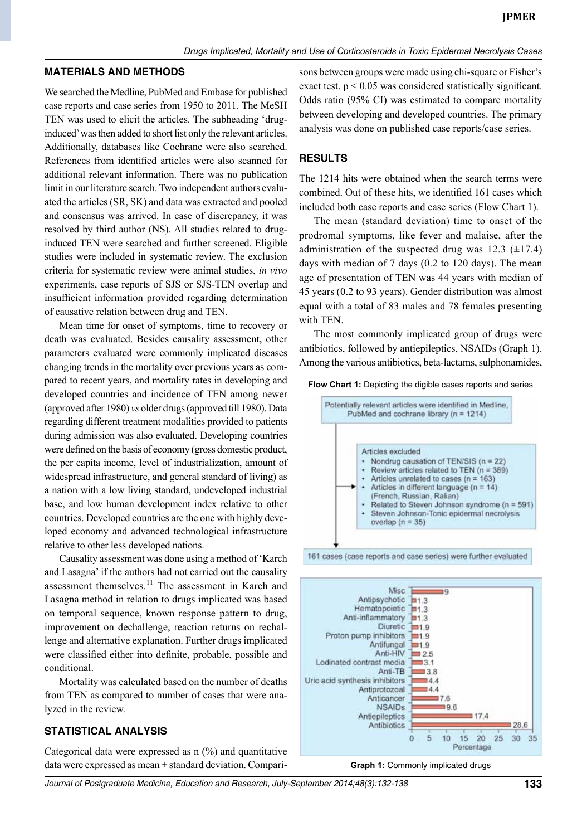#### **Materials and methods**

We searched the Medline, PubMed and Embase for published case reports and case series from 1950 to 2011. The MeSH TEN was used to elicit the articles. The subheading 'druginduced' was then added to short list only the relevant articles. Additionally, databases like Cochrane were also searched. References from identified articles were also scanned for additional relevant information. There was no publication limit in our literature search. Two independent authors evaluated the articles (SR, SK) and data was extracted and pooled and consensus was arrived. In case of discrepancy, it was resolved by third author (NS). All studies related to druginduced TEN were searched and further screened. Eligible studies were included in systematic review. The exclusion criteria for systematic review were animal studies, *in vivo* experiments, case reports of SJS or SJS-TEN overlap and insufficient information provided regarding determination of causative relation between drug and TEN.

Mean time for onset of symptoms, time to recovery or death was evaluated. Besides causality assessment, other parameters evaluated were commonly implicated diseases changing trends in the mortality over previous years as compared to recent years, and mortality rates in developing and developed countries and incidence of TEN among newer (approved after 1980) *vs* older drugs (approved till 1980). Data regarding different treatment modalities provided to patients during admission was also evaluated. Developing countries were defined on the basis of economy (gross domestic product, the per capita income, level of industrialization, amount of widespread infrastructure, and general standard of living) as a nation with a low living standard, undeveloped industrial base, and low human development index relative to other countries. Developed countries are the one with highly developed economy and advanced technological infrastructure relative to other less developed nations.

Causality assessment was done using a method of 'Karch and Lasagna' if the authors had not carried out the causality assessment themselves.<sup>11</sup> The assessment in Karch and Lasagna method in relation to drugs implicated was based on temporal sequence, known response pattern to drug, improvement on dechallenge, reaction returns on rechallenge and alternative explanation. Further drugs implicated were classified either into definite, probable, possible and conditional.

Mortality was calculated based on the number of deaths from TEN as compared to number of cases that were analyzed in the review.

#### **Statistical analysis**

Categorical data were expressed as  $n$  (%) and quantitative data were expressed as mean ± standard deviation. Comparisons between groups were made using chi-square or Fisher's exact test.  $p < 0.05$  was considered statistically significant. Odds ratio (95% CI) was estimated to compare mortality between developing and developed countries. The primary analysis was done on published case reports/case series.

#### **Results**

The 1214 hits were obtained when the search terms were combined. Out of these hits, we identified 161 cases which included both case reports and case series (Flow Chart 1).

The mean (standard deviation) time to onset of the prodromal symptoms, like fever and malaise, after the administration of the suspected drug was  $12.3$  ( $\pm$ 17.4) days with median of 7 days (0.2 to 120 days). The mean age of presentation of TEN was 44 years with median of 45 years (0.2 to 93 years). Gender distribution was almost equal with a total of 83 males and 78 females presenting with TEN.

The most commonly implicated group of drugs were antibiotics, followed by antiepileptics, NSAIDs (Graph 1). Among the various antibiotics, beta-lactams, sulphonamides,

#### Flow Chart 1: Depicting the digible cases reports and series







*Journal of Postgraduate Medicine, Education and Research, July-September 2014;48(3):132-138* **133**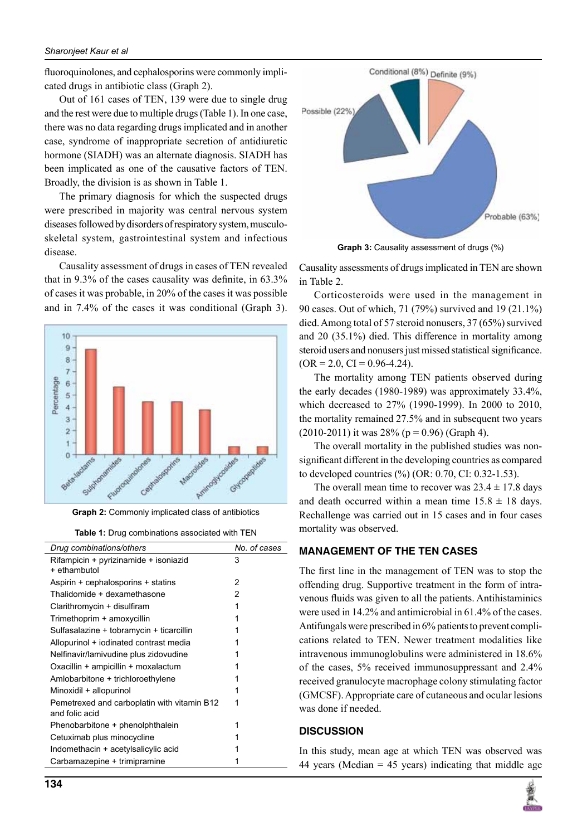fluoroquinolones, and cephalosporins were commonly implicated drugs in antibiotic class (Graph 2).

Out of 161 cases of TEN, 139 were due to single drug and the rest were due to multiple drugs (Table 1). In one case, there was no data regarding drugs implicated and in another case, syndrome of inappropriate secretion of antidiuretic hormone (SIADH) was an alternate diagnosis. SIADH has been implicated as one of the causative factors of TEN. Broadly, the division is as shown in Table 1.

The primary diagnosis for which the suspected drugs were prescribed in majority was central nervous system diseases followed by disorders of respiratory system, musculoskeletal system, gastrointestinal system and infectious disease.

Causality assessment of drugs in cases of TEN revealed that in 9.3% of the cases causality was definite, in 63.3% of cases it was probable, in 20% of the cases it was possible and in 7.4% of the cases it was conditional (Graph 3).



**Graph 2:** Commonly implicated class of antibiotics



| Drug combinations/others                    | No. of cases |
|---------------------------------------------|--------------|
| Rifampicin + pyrizinamide + isoniazid       | 3            |
| + ethambutol                                |              |
| Aspirin + cephalosporins + statins          | 2            |
| Thalidomide + dexamethasone                 | 2            |
| Clarithromycin + disulfiram                 | 1            |
| Trimethoprim + amoxycillin                  |              |
| Sulfasalazine + tobramycin + ticarcillin    |              |
| Allopurinol + iodinated contrast media      |              |
| Nelfinavir/lamivudine plus zidovudine       |              |
| Oxacillin + ampicillin + moxalactum         |              |
| Amlobarbitone + trichloroethylene           |              |
| Minoxidil + allopurinol                     |              |
| Pemetrexed and carboplatin with vitamin B12 |              |
| and folic acid                              |              |
| Phenobarbitone + phenolphthalein            |              |
| Cetuximab plus minocycline                  |              |
| Indomethacin + acetylsalicylic acid         |              |
| Carbamazepine + trimipramine                |              |
|                                             |              |



**Graph 3:** Causality assessment of drugs (%)

Causality assessments of drugs implicated in TEN are shown in Table 2.

Corticosteroids were used in the management in 90 cases. Out of which, 71 (79%) survived and 19 (21.1%) died. Among total of 57 steroid nonusers, 37 (65%) survived and 20 (35.1%) died. This difference in mortality among steroid users and nonusers just missed statistical significance.  $(OR = 2.0, CI = 0.96 - 4.24).$ 

The mortality among TEN patients observed during the early decades (1980-1989) was approximately 33.4%, which decreased to 27% (1990-1999). In 2000 to 2010, the mortality remained 27.5% and in subsequent two years  $(2010-2011)$  it was 28% (p = 0.96) (Graph 4).

The overall mortality in the published studies was nonsignificant different in the developing countries as compared to developed countries (%) (OR: 0.70, CI: 0.32-1.53).

The overall mean time to recover was  $23.4 \pm 17.8$  days and death occurred within a mean time  $15.8 \pm 18$  days. Rechallenge was carried out in 15 cases and in four cases mortality was observed.

# **Management of the TEN cases**

The first line in the management of TEN was to stop the offending drug. Supportive treatment in the form of intravenous fluids was given to all the patients. Antihistaminics were used in 14.2% and antimicrobial in 61.4% of the cases. Antifungals were prescribed in 6% patients to prevent complications related to TEN. Newer treatment modalities like intravenous immunoglobulins were administered in 18.6% of the cases, 5% received immunosuppressant and 2.4% received granulocyte macrophage colony stimulating factor (GMCSF). Appropriate care of cutaneous and ocular lesions was done if needed.

# **Discussion**

In this study, mean age at which TEN was observed was 44 years (Median  $= 45$  years) indicating that middle age

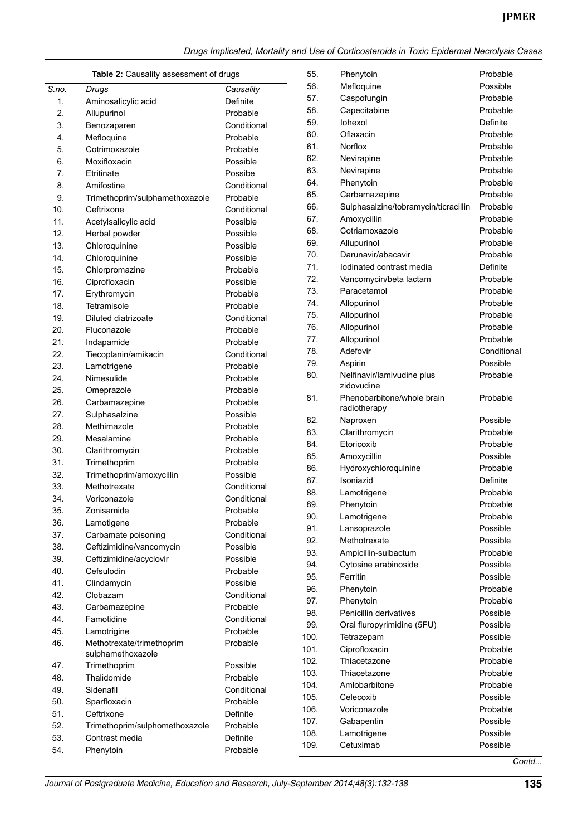### **Jpmer**

*Drugs Implicated, Mortality and Use of Corticosteroids in Toxic Epidermal Necrolysis Cases*

| <b>Table 2: Causality assessment of drugs</b> |                                | 55.         | Phenytoin | Probable                             |             |
|-----------------------------------------------|--------------------------------|-------------|-----------|--------------------------------------|-------------|
| S.no.                                         | Drugs                          | Causality   | 56.       | Mefloquine                           | Possible    |
| 1.                                            | Aminosalicylic acid            | Definite    | 57.       | Caspofungin                          | Probable    |
| 2.                                            | Allupurinol                    | Probable    | 58.       | Capecitabine                         | Probable    |
| 3.                                            | Benozaparen                    | Conditional | 59.       | lohexol                              | Definite    |
| 4.                                            | Mefloquine                     | Probable    | 60.       | Oflaxacin                            | Probable    |
| 5.                                            | Cotrimoxazole                  | Probable    | 61.       | Norflox                              | Probable    |
| 6.                                            | Moxifloxacin                   | Possible    | 62.       | Nevirapine                           | Probable    |
| 7.                                            | Etritinate                     | Possibe     | 63.       | Nevirapine                           | Probable    |
| 8.                                            | Amifostine                     | Conditional | 64.       | Phenytoin                            | Probable    |
| 9.                                            | Trimethoprim/sulphamethoxazole | Probable    | 65.       | Carbamazepine                        | Probable    |
| 10.                                           | Ceftrixone                     | Conditional | 66.       | Sulphasalzine/tobramycin/ticracillin | Probable    |
| 11.                                           | Acetylsalicylic acid           | Possible    | 67.       | Amoxycillin                          | Probable    |
| 12.                                           | Herbal powder                  | Possible    | 68.       | Cotriamoxazole                       | Probable    |
| 13.                                           | Chloroquinine                  | Possible    | 69.       | Allupurinol                          | Probable    |
| 14.                                           | Chloroquinine                  | Possible    | 70.       | Darunavir/abacavir                   | Probable    |
| 15.                                           | Chlorpromazine                 | Probable    | 71.       | lodinated contrast media             | Definite    |
| 16.                                           | Ciprofloxacin                  | Possible    | 72.       | Vancomycin/beta lactam               | Probable    |
| 17.                                           | Erythromycin                   | Probable    | 73.       | Paracetamol                          | Probable    |
| 18.                                           | Tetramisole                    | Probable    | 74.       | Allopurinol                          | Probable    |
| 19.                                           | Diluted diatrizoate            | Conditional | 75.       | Allopurinol                          | Probable    |
| 20.                                           | Fluconazole                    | Probable    | 76.       | Allopurinol                          | Probable    |
| 21.                                           | Indapamide                     | Probable    | 77.       | Allopurinol                          | Probable    |
| 22.                                           | Tiecoplanin/amikacin           | Conditional | 78.       | Adefovir                             | Conditional |
| 23.                                           | Lamotrigene                    | Probable    | 79.       | Aspirin                              | Possible    |
| 24.                                           | Nimesulide                     | Probable    | 80.       | Nelfinavir/lamivudine plus           | Probable    |
| 25.                                           | Omeprazole                     | Probable    |           | zidovudine                           |             |
| 26.                                           | Carbamazepine                  | Probable    | 81.       | Phenobarbitone/whole brain           | Probable    |
| 27.                                           | Sulphasalzine                  | Possible    | 82.       | radiotherapy                         | Possible    |
| 28.                                           | Methimazole                    | Probable    | 83.       | Naproxen                             | Probable    |
| 29.                                           | Mesalamine                     | Probable    | 84.       | Clarithromycin<br>Etoricoxib         | Probable    |
| 30.                                           | Clarithromycin                 | Probable    | 85.       | Amoxycillin                          | Possible    |
| 31.                                           | Trimethoprim                   | Probable    | 86.       | Hydroxychloroquinine                 | Probable    |
| 32.                                           | Trimethoprim/amoxycillin       | Possible    | 87.       | Isoniazid                            | Definite    |
| 33.                                           | Methotrexate                   | Conditional | 88.       | Lamotrigene                          | Probable    |
| 34.                                           | Voriconazole                   | Conditional | 89.       | Phenytoin                            | Probable    |
| 35.                                           | Zonisamide                     | Probable    | 90.       | Lamotrigene                          | Probable    |
| 36.                                           | Lamotigene                     | Probable    | 91.       | Lansoprazole                         | Possible    |
| 37.                                           | Carbamate poisoning            | Conditional | 92.       | Methotrexate                         | Possible    |
| 38.                                           | Ceftizimidine/vancomycin       | Possible    | 93.       | Ampicillin-sulbactum                 | Probable    |
| 39.                                           | Ceftizimidine/acyclovir        | Possible    | 94.       | Cytosine arabinoside                 | Possible    |
| 40.                                           | Cefsulodin                     | Probable    | 95.       | Ferritin                             | Possible    |
| 41.                                           | Clindamycin                    | Possible    | 96.       | Phenytoin                            | Probable    |
| 42.                                           | Clobazam                       | Conditional | 97.       | Phenytoin                            | Probable    |
| 43.                                           | Carbamazepine                  | Probable    | 98.       | Penicillin derivatives               | Possible    |
| 44.                                           | Famotidine                     | Conditional | 99.       | Oral fluropyrimidine (5FU)           | Possible    |
| 45.                                           | Lamotrigine                    | Probable    | 100.      | Tetrazepam                           | Possible    |
| 46.                                           | Methotrexate/trimethoprim      | Probable    | 101.      | Ciprofloxacin                        | Probable    |
|                                               | sulphamethoxazole              |             | 102.      | Thiacetazone                         | Probable    |
| 47.                                           | Trimethoprim                   | Possible    | 103.      | Thiacetazone                         | Probable    |
| 48.                                           | Thalidomide                    | Probable    | 104.      | Amlobarbitone                        | Probable    |
| 49.                                           | Sidenafil                      | Conditional | 105.      | Celecoxib                            | Possible    |
| 50.                                           | Sparfloxacin                   | Probable    | 106.      | Voriconazole                         | Probable    |
| 51.                                           | Ceftrixone                     | Definite    | 107.      | Gabapentin                           | Possible    |
| 52.                                           | Trimethoprim/sulphomethoxazole | Probable    | 108.      | Lamotrigene                          | Possible    |
| 53.                                           | Contrast media                 | Definite    | 109.      | Cetuximab                            | Possible    |
| 54.                                           | Phenytoin                      | Probable    |           |                                      |             |

*Contd...*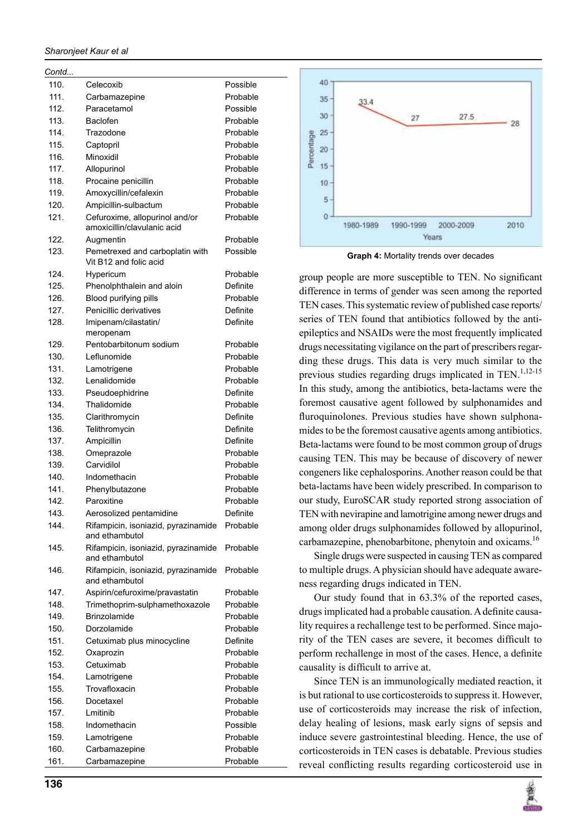#### *sharonjeet Kaur et al*

| Contd… |                                                               |                 |
|--------|---------------------------------------------------------------|-----------------|
| 110.   | Celecoxib                                                     | Possible        |
| 111.   | Carbamazepine                                                 | Probable        |
| 112.   | Paracetamol                                                   | Possible        |
| 113.   | Baclofen                                                      | Probable        |
| 114.   | Trazodone                                                     | Probable        |
| 115.   | Captopril                                                     | Probable        |
| 116.   | Minoxidil                                                     | Probable        |
| 117.   | Allopurinol                                                   | Probable        |
|        |                                                               |                 |
| 118.   | Procaine penicillin                                           | Probable        |
| 119.   | Amoxycillin/cefalexin                                         | Probable        |
| 120.   | Ampicillin-sulbactum                                          | Probable        |
| 121.   | Cefuroxime, allopurinol and/or<br>amoxicillin/clavulanic acid | Probable        |
| 122.   | Augmentin                                                     | Probable        |
| 123.   | Pemetrexed and carboplatin with<br>Vit B12 and folic acid     | Possible        |
| 124.   | Hypericum                                                     | Probable        |
| 125.   | Phenolphthalein and aloin                                     | <b>Definite</b> |
| 126.   | Blood purifying pills                                         | Probable        |
| 127.   | Penicillic derivatives                                        | Definite        |
| 128.   | Imipenam/cilastatin/                                          | Definite        |
|        | meropenam                                                     |                 |
| 129.   | Pentobarbitonum sodium                                        | Probable        |
| 130.   | Leflunomide                                                   | Probable        |
| 131.   | Lamotrigene                                                   | Probable        |
| 132.   | Lenalidomide                                                  | Probable        |
| 133.   | Pseudoephidrine                                               | Definite        |
| 134.   | Thalidomide                                                   | Probable        |
| 135.   | Clarithromycin                                                | Definite        |
| 136.   | Telithromycin                                                 | Definite        |
| 137.   | Ampicillin                                                    | Definite        |
| 138.   | Omeprazole                                                    | Probable        |
| 139.   | Carvidilol                                                    | Probable        |
| 140.   | Indomethacin                                                  | Probable        |
| 141.   |                                                               | Probable        |
|        | Phenylbutazone                                                |                 |
| 142.   | Paroxitine                                                    | Probable        |
| 143.   | Aerosolized pentamidine                                       | Definite        |
| 144.   | Rifampicin, isoniazid, pyrazinamide<br>and ethambutol         | Probable        |
| 145.   | Rifampicin, isoniazid, pyrazinamide<br>and ethambutol         | Probable        |
| 146.   | Rifampicin, isoniazid, pyrazinamide<br>and ethambutol         | Probable        |
| 147.   | Aspirin/cefuroxime/pravastatin                                | Probable        |
| 148.   | Trimethoprim-sulphamethoxazole                                | Probable        |
| 149.   | Brinzolamide                                                  | Probable        |
| 150.   | Dorzolamide                                                   | Probable        |
| 151.   | Cetuximab plus minocycline                                    | Definite        |
| 152.   | Oxaprozin                                                     | Probable        |
| 153.   | Cetuximab                                                     | Probable        |
| 154.   | Lamotrigene                                                   | Probable        |
| 155.   | Trovafloxacin                                                 | Probable        |
| 156.   | Docetaxel                                                     | Probable        |
| 157.   | Lmitinib                                                      | Probable        |
| 158.   | Indomethacin                                                  | Possible        |
| 159.   | Lamotrigene                                                   | Probable        |
| 160.   | Carbamazepine                                                 | Probable        |
| 161.   | Carbamazepine                                                 | Probable        |
|        |                                                               |                 |



**Graph 4:** Mortality trends over decades

group people are more susceptible to TEN. No significant difference in terms of gender was seen among the reported TEN cases. This systematic review of published case reports/ series of TEN found that antibiotics followed by the antiepileptics and NSAIDs were the most frequently implicated drugs necessitating vigilance on the part of prescribers regarding these drugs. This data is very much similar to the previous studies regarding drugs implicated in TEN. $1,12-15$ In this study, among the antibiotics, beta-lactams were the foremost causative agent followed by sulphonamides and fluroquinolones. Previous studies have shown sulphonamides to be the foremost causative agents among antibiotics. Beta-lactams were found to be most common group of drugs causing TEN. This may be because of discovery of newer congeners like cephalosporins. Another reason could be that beta-lactams have been widely prescribed. In comparison to our study, EuroSCAR study reported strong association of TEN with nevirapine and lamotrigine among newer drugs and among older drugs sulphonamides followed by allopurinol, carbamazepine, phenobarbitone, phenytoin and oxicams.<sup>16</sup>

Single drugs were suspected in causing TEN as compared to multiple drugs. A physician should have adequate awareness regarding drugs indicated in TEN.

Our study found that in 63.3% of the reported cases, drugs implicated had a probable causation. A definite causality requires a rechallenge test to be performed. Since majority of the TEN cases are severe, it becomes difficult to perform rechallenge in most of the cases. Hence, a definite causality is difficult to arrive at.

Since TEN is an immunologically mediated reaction, it is but rational to use corticosteroids to suppress it. However, use of corticosteroids may increase the risk of infection, delay healing of lesions, mask early signs of sepsis and induce severe gastrointestinal bleeding. Hence, the use of corticosteroids in TEN cases is debatable. Previous studies reveal conflicting results regarding corticosteroid use in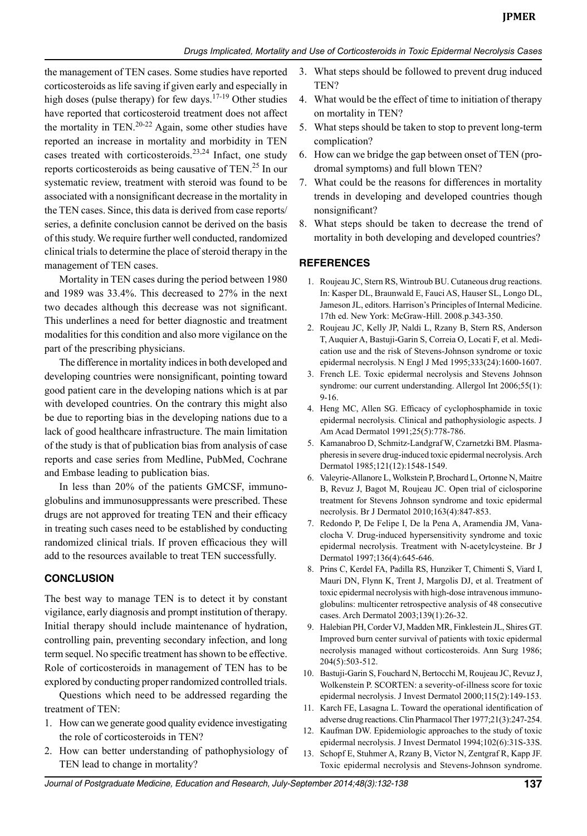the management of TEN cases. Some studies have reported corticosteroids as life saving if given early and especially in high doses (pulse therapy) for few days.<sup>17-19</sup> Other studies have reported that corticosteroid treatment does not affect the mortality in TEN.<sup>20-22</sup> Again, some other studies have reported an increase in mortality and morbidity in TEN cases treated with corticosteroids.<sup>23,24</sup> Infact, one study reports corticosteroids as being causative of TEN.<sup>25</sup> In our systematic review, treatment with steroid was found to be associated with a nonsignificant decrease in the mortality in the TEN cases. Since, this data is derived from case reports/ series, a definite conclusion cannot be derived on the basis of this study. We require further well conducted, randomized clinical trials to determine the place of steroid therapy in the management of TEN cases.

Mortality in TEN cases during the period between 1980 and 1989 was 33.4%. This decreased to 27% in the next two decades although this decrease was not significant. This underlines a need for better diagnostic and treatment modalities for this condition and also more vigilance on the part of the prescribing physicians.

The difference in mortality indices in both developed and developing countries were nonsignificant, pointing toward good patient care in the developing nations which is at par with developed countries. On the contrary this might also be due to reporting bias in the developing nations due to a lack of good healthcare infrastructure. The main limitation of the study is that of publication bias from analysis of case reports and case series from Medline, Pubmed, Cochrane and Embase leading to publication bias.

In less than 20% of the patients GMCSF, immunoglobulins and immunosuppressants were prescribed. These drugs are not approved for treating TEN and their efficacy in treating such cases need to be established by conducting randomized clinical trials. If proven efficacious they will add to the resources available to treat TEN successfully.

### **Conclusion**

The best way to manage TEN is to detect it by constant vigilance, early diagnosis and prompt institution of therapy. Initial therapy should include maintenance of hydration, controlling pain, preventing secondary infection, and long term sequel. No specific treatment has shown to be effective. Role of corticosteroids in management of TEN has to be explored by conducting proper randomized controlled trials.

Questions which need to be addressed regarding the treatment of TEN:

- 1. How can we generate good quality evidence investigating the role of corticosteroids in TEN?
- 2. How can better understanding of pathophysiology of TEN lead to change in mortality?
- 3. What steps should be followed to prevent drug induced TEN?
- 4. What would be the effect of time to initiation of therapy on mortality in TEN?
- 5. What steps should be taken to stop to prevent long-term complication?
- 6. How can we bridge the gap between onset of TEN (prodromal symptoms) and full blown TEN?
- 7. What could be the reasons for differences in mortality trends in developing and developed countries though nonsignificant?
- 8. What steps should be taken to decrease the trend of mortality in both developing and developed countries?

# **References**

- 1. Roujeau JC, Stern RS, Wintroub BU. Cutaneous drug reactions. In: Kasper DL, Braunwald E, Fauci AS, Hauser SL, Longo DL, Jameson JL, editors. Harrison's Principles of Internal Medicine. 17th ed. New York: McGraw-Hill. 2008.p.343-350.
- 2. Roujeau JC, Kelly JP, Naldi L, Rzany B, Stern RS, Anderson T, Auquier A, Bastuji-Garin S, Correia O, Locati F, et al. Medication use and the risk of Stevens-Johnson syndrome or toxic epidermal necrolysis. N Engl J Med 1995;333(24):1600-1607.
- 3. French LE. Toxic epidermal necrolysis and Stevens Johnson syndrome: our current understanding. Allergol Int 2006;55(1): 9-16.
- 4. Heng MC, Allen SG. Efficacy of cyclophosphamide in toxic epidermal necrolysis. Clinical and pathophysiologic aspects. J Am Acad Dermatol 1991;25(5):778-786.
- 5. Kamanabroo D, Schmitz-Landgraf W, Czarnetzki BM. Plasmapheresis in severe drug-induced toxic epidermal necrolysis. Arch Dermatol 1985;121(12):1548-1549.
- 6. Valeyrie-Allanore L, Wolkstein P, Brochard L, Ortonne N, Maitre B, Revuz J, Bagot M, Roujeau JC. Open trial of ciclosporine treatment for Stevens Johnson syndrome and toxic epidermal necrolysis. Br J Dermatol 2010;163(4):847-853.
- 7. Redondo P, De Felipe I, De la Pena A, Aramendia JM, Vanaclocha V. Drug-induced hypersensitivity syndrome and toxic epidermal necrolysis. Treatment with N-acetylcysteine. Br J Dermatol 1997;136(4):645-646.
- 8. Prins C, Kerdel FA, Padilla RS, Hunziker T, Chimenti S, Viard I, Mauri DN, Flynn K, Trent J, Margolis DJ, et al. Treatment of toxic epidermal necrolysis with high-dose intravenous immunoglobulins: multicenter retrospective analysis of 48 consecutive cases. Arch Dermatol 2003;139(1):26-32.
- 9. Halebian PH, Corder VJ, Madden MR, Finklestein JL, Shires GT. Improved burn center survival of patients with toxic epidermal necrolysis managed without corticosteroids. Ann Surg 1986; 204(5):503-512.
- 10. Bastuji-Garin S, Fouchard N, Bertocchi M, Roujeau JC, Revuz J, Wolkenstein P. SCORTEN: a severity-of-illness score for toxic epidermal necrolysis. J Invest Dermatol 2000;115(2):149-153.
- 11. Karch FE, Lasagna L. Toward the operational identification of adverse drug reactions. Clin Pharmacol Ther 1977;21(3):247-254.
- 12. Kaufman DW. Epidemiologic approaches to the study of toxic epidermal necrolysis. J Invest Dermatol 1994;102(6):31S-33S.
- 13. Schopf E, Stuhmer A, Rzany B, Victor N, Zentgraf R, Kapp JF. Toxic epidermal necrolysis and Stevens-Johnson syndrome.